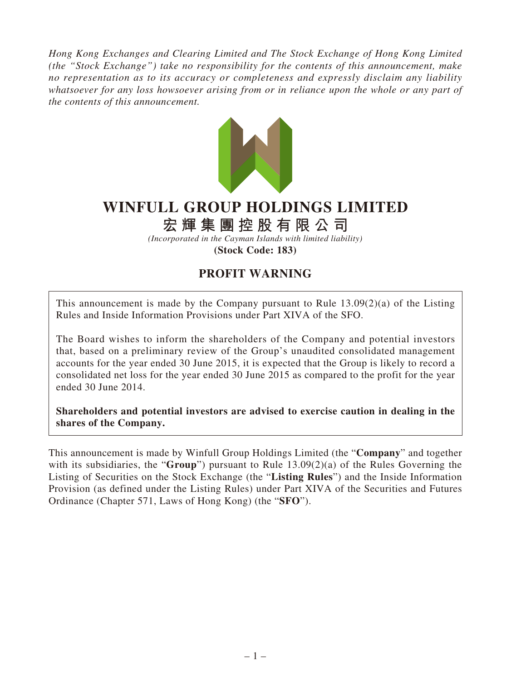*Hong Kong Exchanges and Clearing Limited and The Stock Exchange of Hong Kong Limited (the "Stock Exchange") take no responsibility for the contents of this announcement, make no representation as to its accuracy or completeness and expressly disclaim any liability whatsoever for any loss howsoever arising from or in reliance upon the whole or any part of the contents of this announcement.*



## **WINFULL GROUP HOLDINGS LIMITED**

## **宏輝集團控股有限公司**

*(Incorporated in the Cayman Islands with limited liability)* **(Stock Code: 183)**

## **PROFIT WARNING**

This announcement is made by the Company pursuant to Rule 13.09(2)(a) of the Listing Rules and Inside Information Provisions under Part XIVA of the SFO.

The Board wishes to inform the shareholders of the Company and potential investors that, based on a preliminary review of the Group's unaudited consolidated management accounts for the year ended 30 June 2015, it is expected that the Group is likely to record a consolidated net loss for the year ended 30 June 2015 as compared to the profit for the year ended 30 June 2014.

**Shareholders and potential investors are advised to exercise caution in dealing in the shares of the Company.**

This announcement is made by Winfull Group Holdings Limited (the "**Company**" and together with its subsidiaries, the "**Group**") pursuant to Rule 13.09(2)(a) of the Rules Governing the Listing of Securities on the Stock Exchange (the "**Listing Rules**") and the Inside Information Provision (as defined under the Listing Rules) under Part XIVA of the Securities and Futures Ordinance (Chapter 571, Laws of Hong Kong) (the "**SFO**").